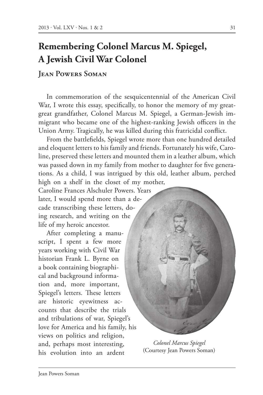## **Remembering Colonel Marcus M. Spiegel, A Jewish Civil War Colonel**

## **Jean Powers Soman**

In commemoration of the sesquicentennial of the American Civil War, I wrote this essay, specifically, to honor the memory of my greatgreat grandfather, Colonel Marcus M. Spiegel, a German-Jewish immigrant who became one of the highest-ranking Jewish officers in the Union Army. Tragically, he was killed during this fratricidal conflict.

From the battlefields, Spiegel wrote more than one hundred detailed and eloquent letters to his family and friends. Fortunately his wife, Caroline, preserved these letters and mounted them in a leather album, which was passed down in my family from mother to daughter for five generations. As a child, I was intrigued by this old, leather album, perched high on a shelf in the closet of my mother,

Caroline Frances Alschuler Powers. Years later, I would spend more than a decade transcribing these letters, doing research, and writing on the life of my heroic ancestor.

After completing a manuscript, I spent a few more years working with Civil War historian Frank L. Byrne on a book containing biographical and background information and, more important, Spiegel's letters. These letters are historic eyewitness accounts that describe the trials and tribulations of war, Spiegel's love for America and his family, his views on politics and religion, and, perhaps most interesting, his evolution into an ardent



*Colonel Marcus Spiegel* (Courtesy Jean Powers Soman)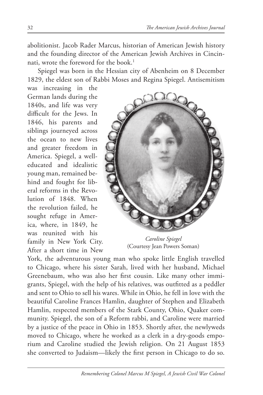abolitionist. Jacob Rader Marcus, historian of American Jewish history and the founding director of the American Jewish Archives in Cincinnati, wrote the foreword for the book. $1$ 

 Spiegel was born in the Hessian city of Abenheim on 8 December 1829, the eldest son of Rabbi Moses and Regina Spiegel. Antisemitism

was increasing in the German lands during the 1840s, and life was very difficult for the Jews. In 1846, his parents and siblings journeyed across the ocean to new lives and greater freedom in America. Spiegel, a welleducated and idealistic young man, remained behind and fought for liberal reforms in the Revolution of 1848. When the revolution failed, he sought refuge in America, where, in 1849, he was reunited with his family in New York City. After a short time in New



*Caroline Spiegel* (Courtesy Jean Powers Soman)

York, the adventurous young man who spoke little English travelled to Chicago, where his sister Sarah, lived with her husband, Michael Greenebaum, who was also her first cousin. Like many other immigrants, Spiegel, with the help of his relatives, was outfitted as a peddler and sent to Ohio to sell his wares. While in Ohio, he fell in love with the beautiful Caroline Frances Hamlin, daughter of Stephen and Elizabeth Hamlin, respected members of the Stark County, Ohio, Quaker community. Spiegel, the son of a Reform rabbi, and Caroline were married by a justice of the peace in Ohio in 1853. Shortly after, the newlyweds moved to Chicago, where he worked as a clerk in a dry-goods emporium and Caroline studied the Jewish religion. On 21 August 1853 she converted to Judaism—likely the first person in Chicago to do so.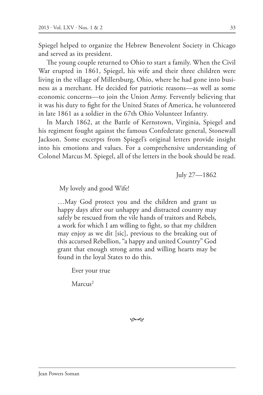Spiegel helped to organize the Hebrew Benevolent Society in Chicago and served as its president.

The young couple returned to Ohio to start a family. When the Civil War erupted in 1861, Spiegel, his wife and their three children were living in the village of Millersburg, Ohio, where he had gone into business as a merchant. He decided for patriotic reasons—as well as some economic concerns—to join the Union Army. Fervently believing that it was his duty to fight for the United States of America, he volunteered in late 1861 as a soldier in the 67th Ohio Volunteer Infantry.

In March 1862, at the Battle of Kernstown, Virginia, Spiegel and his regiment fought against the famous Confederate general, Stonewall Jackson. Some excerpts from Spiegel's original letters provide insight into his emotions and values. For a comprehensive understanding of Colonel Marcus M. Spiegel, all of the letters in the book should be read.

July 27—1862

My lovely and good Wife!

…May God protect you and the children and grant us happy days after our unhappy and distracted country may safely be rescued from the vile hands of traitors and Rebels, a work for which I am willing to fight, so that my children may enjoy as we dit [sic], previous to the breaking out of this accursed Rebellion, "a happy and united Country" God grant that enough strong arms and willing hearts may be found in the loyal States to do this.

Ever your true

Marcus<sup>2</sup>

بهي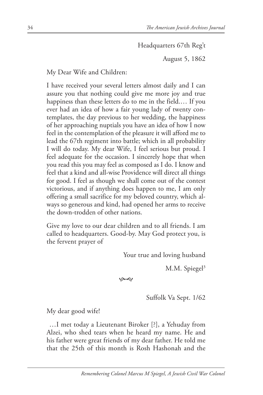Headquarters 67th Reg't

August 5, 1862

My Dear Wife and Children:

I have received your several letters almost daily and I can assure you that nothing could give me more joy and true happiness than these letters do to me in the field.… If you ever had an idea of how a fair young lady of twenty contemplates, the day previous to her wedding, the happiness of her approaching nuptials you have an idea of how I now feel in the contemplation of the pleasure it will afford me to lead the 67th regiment into battle; which in all probability I will do today. My dear Wife, I feel serious but proud. I feel adequate for the occasion. I sincerely hope that when you read this you may feel as composed as I do. I know and feel that a kind and all-wise Providence will direct all things for good. I feel as though we shall come out of the contest victorious, and if anything does happen to me, I am only offering a small sacrifice for my beloved country, which always so generous and kind, had opened her arms to receive the down-trodden of other nations.

Give my love to our dear children and to all friends. I am called to headquarters. Good-by. May God protect you, is the fervent prayer of

Your true and loving husband

M.M. Spiegel $3$ 

بهمو

Suffolk Va Sept. 1/62

My dear good wife!

…I met today a Lieutenant Biroker [?], a Yehuday from Alzei, who shed tears when he heard my name. He and his father were great friends of my dear father. He told me that the 25th of this month is Rosh Hashonah and the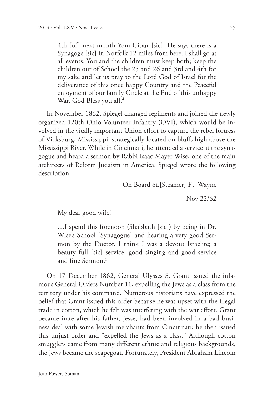4th [of] next month Yom Cipur [sic]. He says there is a Synagoge [sic] in Norfolk 12 miles from here. I shall go at all events. You and the children must keep both; keep the children out of School the 25 and 26 and 3rd and 4th for my sake and let us pray to the Lord God of Israel for the deliverance of this once happy Country and the Peaceful enjoyment of our family Circle at the End of this unhappy War. God Bless you all.<sup>4</sup>

In November 1862, Spiegel changed regiments and joined the newly organized 120th Ohio Volunteer Infantry (OVI), which would be involved in the vitally important Union effort to capture the rebel fortress of Vicksburg, Mississippi, strategically located on bluffs high above the Mississippi River. While in Cincinnati, he attended a service at the synagogue and heard a sermon by Rabbi Isaac Mayer Wise, one of the main architects of Reform Judaism in America. Spiegel wrote the following description:

On Board St.[Steamer] Ft. Wayne

Nov 22/62

My dear good wife!

…I spend this forenoon (Shabbath [sic]) by being in Dr. Wise's School [Synagogue] and hearing a very good Sermon by the Doctor. I think I was a devout Israelite; a beauty full [sic] service, good singing and good service and fine Sermon $<sup>5</sup>$ </sup>

On 17 December 1862, General Ulysses S. Grant issued the infamous General Orders Number 11, expelling the Jews as a class from the territory under his command. Numerous historians have expressed the belief that Grant issued this order because he was upset with the illegal trade in cotton, which he felt was interfering with the war effort. Grant became irate after his father, Jesse, had been involved in a bad business deal with some Jewish merchants from Cincinnati; he then issued this unjust order and "expelled the Jews as a class." Although cotton smugglers came from many different ethnic and religious backgrounds, the Jews became the scapegoat. Fortunately, President Abraham Lincoln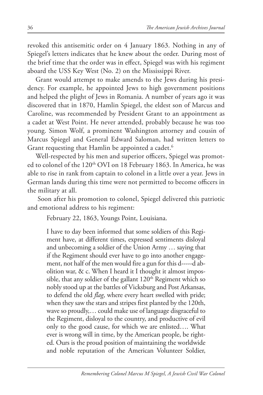revoked this antisemitic order on 4 January 1863. Nothing in any of Spiegel's letters indicates that he knew about the order. During most of the brief time that the order was in effect, Spiegel was with his regiment aboard the USS Key West (No. 2) on the Mississippi River.

Grant would attempt to make amends to the Jews during his presidency. For example, he appointed Jews to high government positions and helped the plight of Jews in Romania. A number of years ago it was discovered that in 1870, Hamlin Spiegel, the eldest son of Marcus and Caroline, was recommended by President Grant to an appointment as a cadet at West Point. He never attended, probably because he was too young. Simon Wolf, a prominent Washington attorney and cousin of Marcus Spiegel and General Edward Saloman, had written letters to Grant requesting that Hamlin be appointed a cadet.<sup>6</sup>

Well-respected by his men and superior officers, Spiegel was promoted to colonel of the 120<sup>th</sup> OVI on 18 February 1863. In America, he was able to rise in rank from captain to colonel in a little over a year. Jews in German lands during this time were not permitted to become officers in the military at all.

 Soon after his promotion to colonel, Spiegel delivered this patriotic and emotional address to his regiment:

February 22, 1863, Youngs Point, Louisiana.

I have to day been informed that some soldiers of this Regiment have, at different times, expressed sentiments disloyal and unbecoming a soldier of the Union Army … saying that if the Regiment should ever have to go into another engagement, not half of the men would fire a gun for this d-----d abolition war, & c. When I heard it I thought it almost impossible, that any soldier of the gallant  $120<sup>th</sup>$  Regiment which so nobly stood up at the battles of Vicksburg and Post Arkansas, to defend the old *flag*, where every heart swelled with pride; when they saw the stars and stripes first planted by the 120th, wave so proudly,… could make use of language disgraceful to the Regiment, disloyal to the country, and productive of evil only to the good cause, for which we are enlisted…. What ever is wrong will in time, by the American people, be righted. Ours is the proud position of maintaining the worldwide and noble reputation of the American Volunteer Soldier,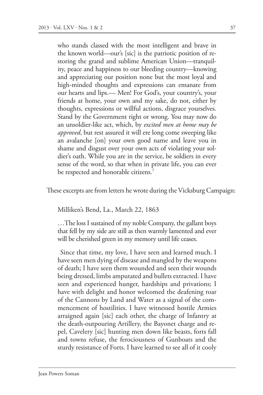who stands classed with the most intelligent and brave in the known world—our's [sic] is the patriotic position of restoring the grand and sublime American Union—tranquility, peace and happiness to our bleeding country—knowing and appreciating our position none but the most loyal and high-minded thoughts and expressions can emanate from our hearts and lips.— Men! For God's, your country's, your friends at home, your own and my sake, do not, either by thoughts, expressions or willful actions, disgrace yourselves. Stand by the Government right or wrong. You may now do an unsoldier-like act, which, by *excited men at home may be approved*, but rest assured it will ere long come sweeping like an avalanche [on] your own good name and leave you in shame and disgust over your own acts of violating your soldier's oath. While you are in the service, be soldiers in every sense of the word, so that when in private life, you can ever be respected and honorable citizens.<sup>7</sup>

These excerpts are from letters he wrote during the Vicksburg Campaign:

Milliken's Bend, La., March 22, 1863

…The loss I sustained of my noble Company, the gallant boys that fell by my side are still as then warmly lamented and ever will be cherished green in my memory until life ceases.

Since that time, my love, I have seen and learned much. I have seen men dying of disease and mangled by the weapons of death; I have seen them wounded and seen their wounds being dressed, limbs amputated and bullets extracted. I have seen and experienced hunger, hardships and privations; I have with delight and honor welcomed the deafening roar of the Cannons by Land and Water as a signal of the commencement of hostilities. I have witnessed hostile Armies arraigned again [sic] each other, the charge of Infantry at the death-outpouring Artillery, the Bayonet charge and repel, Cavelery [sic] hunting men down like beasts, forts fall and towns refuse, the ferociousness of Gunboats and the sturdy resistance of Forts. I have learned to see all of it cooly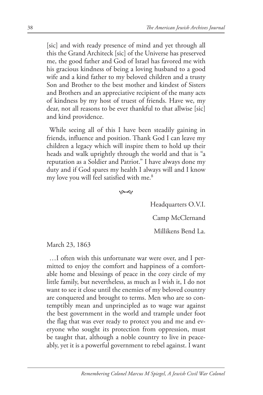[sic] and with ready presence of mind and yet through all this the Grand Architeck [sic] of the Universe has preserved me, the good father and God of Israel has favored me with his gracious kindness of being a loving husband to a good wife and a kind father to my beloved children and a trusty Son and Brother to the best mother and kindest of Sisters and Brothers and an appreciative recipient of the many acts of kindness by my host of truest of friends. Have we, my dear, not all reasons to be ever thankful to that allwise [sic] and kind providence.

While seeing all of this I have been steadily gaining in friends, influence and position. Thank God I can leave my children a legacy which will inspire them to hold up their heads and walk uprightly through the world and that is "a reputation as a Soldier and Patriot." I have always done my duty and if God spares my health I always will and I know my love you will feel satisfied with me.<sup>8</sup>

بهمو

Headquarters O.V.I.

Camp McClernand

Millikens Bend La.

March 23, 1863

…I often wish this unfortunate war were over, and I permitted to enjoy the comfort and happiness of a comfortable home and blessings of peace in the cozy circle of my little family, but nevertheless, as much as I wish it, I do not want to see it close until the enemies of my beloved country are conquered and brought to terms. Men who are so contemptibly mean and unprincipled as to wage war against the best government in the world and trample under foot the flag that was ever ready to protect you and me and everyone who sought its protection from oppression, must be taught that, although a noble country to live in peaceably, yet it is a powerful government to rebel against. I want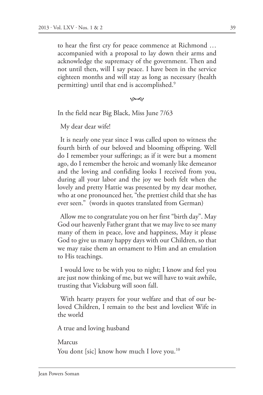to hear the first cry for peace commence at Richmond … accompanied with a proposal to lay down their arms and acknowledge the supremacy of the government. Then and not until then, will I say peace. I have been in the service eighteen months and will stay as long as necessary (health permitting) until that end is accomplished.<sup>9</sup>

بهي

In the field near Big Black, Miss June 7/63

My dear dear wife!

It is nearly one year since I was called upon to witness the fourth birth of our beloved and blooming offspring. Well do I remember your sufferings; as if it were but a moment ago, do I remember the heroic and womanly like demeanor and the loving and confiding looks I received from you, during all your labor and the joy we both felt when the lovely and pretty Hattie was presented by my dear mother, who at one pronounced her, "the prettiest child that she has ever seen." (words in quotes translated from German)

Allow me to congratulate you on her first "birth day". May God our heavenly Father grant that we may live to see many many of them in peace, love and happiness, May it please God to give us many happy days with our Children, so that we may raise them an ornament to Him and an emulation to His teachings.

I would love to be with you to night; I know and feel you are just now thinking of me, but we will have to wait awhile, trusting that Vicksburg will soon fall.

With hearty prayers for your welfare and that of our beloved Children, I remain to the best and loveliest Wife in the world

A true and loving husband

Marcus You dont [sic] know how much I love you.<sup>10</sup>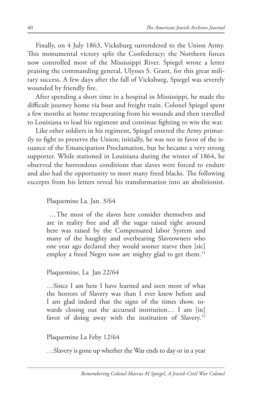Finally, on 4 July 1863, Vicksburg surrendered to the Union Army. This monumental victory split the Confederacy; the Northern forces now controlled most of the Mississippi River. Spiegel wrote a letter praising the commanding general, Ulysses S. Grant, for this great military success. A few days after the fall of Vicksburg, Spiegel was severely wounded by friendly fire.

After spending a short time in a hospital in Mississippi, he made the difficult journey home via boat and freight train. Colonel Spiegel spent a few months at home recuperating from his wounds and then travelled to Louisiana to lead his regiment and continue fighting to win the war.

Like other soldiers in his regiment, Spiegel entered the Army primarily to fight to preserve the Union; initially, he was not in favor of the issuance of the Emancipation Proclamation, but he became a very strong supporter. While stationed in Louisiana during the winter of 1864, he observed the horrendous conditions that slaves were forced to endure and also had the opportunity to meet many freed blacks. The following excerpts from his letters reveal his transformation into an abolitionist.

Plaquemine La. Jan. 3/64

…The most of the slaves here consider themselves and are in reality free and all the sugar raised right around here was raised by the Compensated labor System and many of the haughty and overbearing Slaveowners who one year ago declared they would sooner starve then [sic] employ a freed Negro now are mighty glad to get them.<sup>11</sup>

Plaquemine, La Jan 22/64

…Since I am here I have learned and seen more of what the horrors of Slavery was than I ever knew before and I am glad indeed that the signs of the times show, towards closing out the accursed institution… I am [in] favor of doing away with the institution of Slavery.<sup>12</sup>

Plaquemine La Feby 12/64

…Slavery is gone up whether the War ends to day or in a year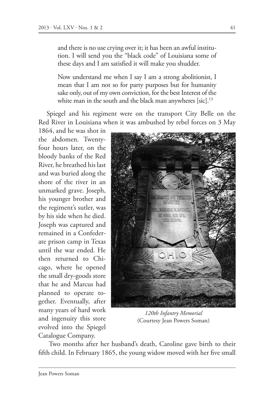and there is no use crying over it; it has been an awful institution. I will send you the "black code" of Louisiana some of these days and I am satisfied it will make you shudder.

Now understand me when I say I am a strong abolitionist, I mean that I am not so for party purposes but for humanity sake only, out of my own conviction, for the best Interest of the white man in the south and the black man anywheres [sic]. $^{13}$ 

Spiegel and his regiment were on the transport City Belle on the Red River in Louisiana when it was ambushed by rebel forces on 3 May

1864, and he was shot in the abdomen. Twentyfour hours later, on the bloody banks of the Red River, he breathed his last and was buried along the shore of the river in an unmarked grave. Joseph, his younger brother and the regiment's sutler, was by his side when he died. Joseph was captured and remained in a Confederate prison camp in Texas until the war ended. He then returned to Chicago, where he opened the small dry-goods store that he and Marcus had planned to operate together. Eventually, after many years of hard work and ingenuity this store evolved into the Spiegel Catalogue Company.



*120th Infantry Memorial* (Courtesy Jean Powers Soman)

 Two months after her husband's death, Caroline gave birth to their fifth child. In February 1865, the young widow moved with her five small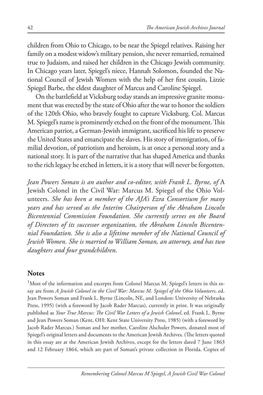children from Ohio to Chicago, to be near the Spiegel relatives. Raising her family on a modest widow's military pension, she never remarried, remained true to Judaism, and raised her children in the Chicago Jewish community. In Chicago years later, Spiegel's niece, Hannah Solomon, founded the National Council of Jewish Women with the help of her first cousin, Lizzie Spiegel Barbe, the eldest daughter of Marcus and Caroline Spiegel.

On the battlefield at Vicksburg today stands an impressive granite monument that was erected by the state of Ohio after the war to honor the soldiers of the 120th Ohio, who bravely fought to capture Vicksburg. Col. Marcus M. Spiegel's name is prominently etched on the front of the monument. This American patriot, a German-Jewish immigrant, sacrificed his life to preserve the United States and emancipate the slaves. His story of immigration, of familial devotion, of patriotism and heroism, is at once a personal story and a national story. It is part of the narrative that has shaped America and thanks to the rich legacy he etched in letters, it is a story that will never be forgotten.

*Jean Powers Soman is an author and co-editor, with Frank L. Byrne, of* A Jewish Colonel in the Civil War: Marcus M. Spiegel of the Ohio Volunteers. *She has been a member of the AJA's Ezra Consortium for many years and has served as the Interim Chairperson of the Abraham Lincoln Bicentennial Commission Foundation. She currently serves on the Board of Directors of its successor organization, the Abraham Lincoln Bicentennial Foundation. She is also a lifetime member of the National Council of Jewish Women. She is married to William Soman, an attorney, and has two daughters and four grandchildren.*

## **Notes**

<sup>1</sup>Most of the information and excerpts from Colonel Marcus M. Spiegel's letters in this essay are from *A Jewish Colonel in the Civil War: Marcus M. Spiegel of the Ohio Volunteers*, ed. Jean Powers Soman and Frank L. Byrne (Lincoln, NE, and London: University of Nebraska Press, 1995) (with a foreword by Jacob Rader Marcus), currently in print. It was originally published as *Your True Marcus: The Civil War Letters of a Jewish Colonel*, ed. Frank L. Byrne and Jean Powers Soman (Kent, OH: Kent State University Press, 1985) (with a foreword by Jacob Rader Marcus.) Soman and her mother, Caroline Alschuler Powers, donated most of Spiegel's original letters and documents to the American Jewish Archives. (The letters quoted in this essay are at the American Jewish Archives, except for the letters dated 7 June 1863 and 12 February 1864, which are part of Soman's private collection in Florida. Copies of